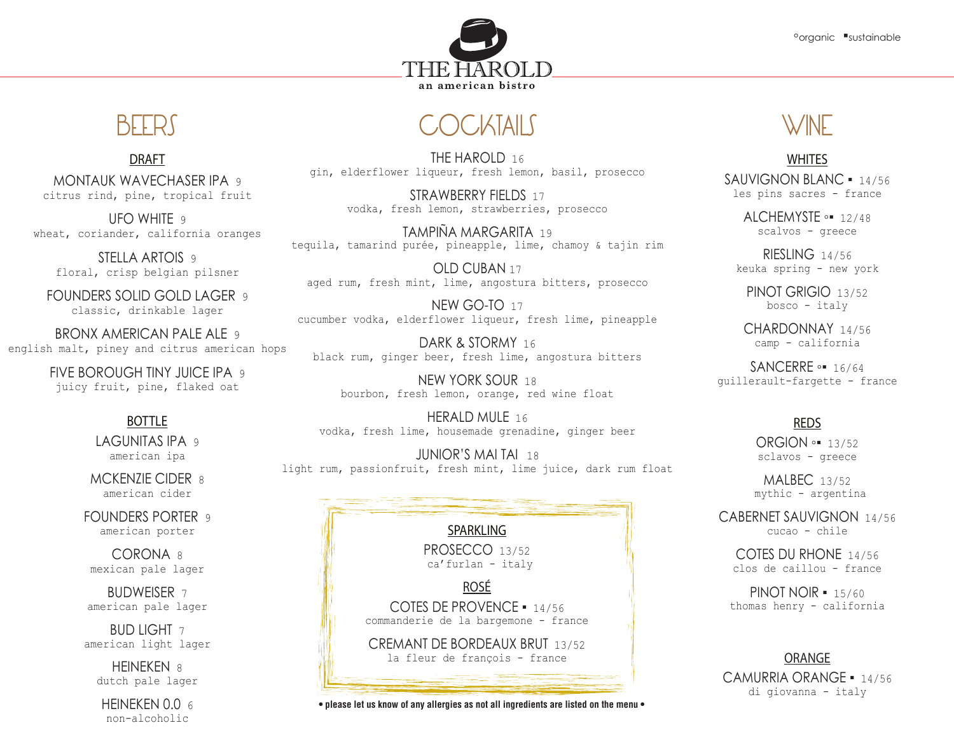



DRAFT

MONTAUK WAVECHASER IPA 9 citrus rind, pine, tropical fruit

UFO WHITE 9 wheat, coriander, california oranges

STELLA ARTOIS 9 floral, crisp belgian pilsner

FOUNDERS SOLID GOLD LAGER 9 classic, drinkable lager

BRONX AMERICAN PALE ALE 9 english malt, piney and citrus american hops

> FIVE BOROUGH TINY JUICE IPA 9 juicy fruit, pine, flaked oat

# BOTTLE

LAGUNITAS IPA 9 american ipa

MCKENZIE CIDER 8 american cider

FOUNDERS PORTER 9 american porter

CORONA 8 mexican pale lager

BUDWEISER 7 american pale lager

BUD LIGHT 7 american light lager

HEINEKEN 8 dutch pale lager

HEINEKEN  $0.0<sub>6</sub>$ non-alcoholic

## **OCKTAILS** BEERS COUNTAILS WINE

THE HAROLD 16 gin, elderflower liqueur, fresh lemon, basil, prosecco

> STRAWBERRY FIFLDS 17 vodka, fresh lemon, strawberries, prosecco

TAMPIÑA MARGARITA 19 tequila, tamarind purée, pineapple, lime, chamoy & tajin rim

OLD CUBAN 17 aged rum, fresh mint, lime, angostura bitters, prosecco

NEW GO-TO 17 cucumber vodka, elderflower liqueur, fresh lime, pineapple

DARK & STORMY 16 black rum, ginger beer, fresh lime, angostura bitters

NEW YORK SOUR 18 bourbon, fresh lemon, orange, red wine float

HERALD MULF 16 vodka, fresh lime, housemade grenadine, ginger beer

JUNIOR'S MAI TAI 18 light rum, passionfruit, fresh mint, lime juice, dark rum float

|                                                                                  | $\mathfrak{m}$ $\mathfrak{v}$ $\mathfrak{v}$ $\mathfrak{v}$ $\mathfrak{v}$ $\mathfrak{v}$<br>$4 + 4$ |
|----------------------------------------------------------------------------------|------------------------------------------------------------------------------------------------------|
| <b>SPARKLING</b>                                                                 | <b>CABERNET SAUVIG</b><br>cucao - ch                                                                 |
| PROSECCO 13/52<br>ca' furlan - italy                                             | <b>COTES DU RHON</b><br>clos de caillou                                                              |
| <b>ROSÉ</b><br>COTES DE PROVENCE = 14/56<br>commanderie de la bargemone - france | <b>PINOT NOIR -</b><br>thomas henry $- c$                                                            |
| CREMANT DE BORDEAUX BRUT 13/52<br>la fleur de françois - france                  | ORANGE                                                                                               |
|                                                                                  | <b>CAMURRIA ORAN</b><br>di qiovanna -                                                                |

## WHITES

SAUVIGNON BLANC **▪** 14/56 les pins sacres - france

> ALCHEMYSTE **◦▪** 12/48 scalvos - greece

RIESLING 14/56 keuka spring - new york

PINOT GRIGIO 13/52 bosco - italy

CHARDONNAY 14/56 camp - california

SANCERRE **◦▪** 16/64 guillerault-fargette - france

### REDS

ORGION **◦▪** 13/52 sclavos - greece

MALBEC 13/52 mythic - argentina

CABERNET SAUVIGNON 14/56 cucao - chile

COTES DU RHONE 14/56 clos de caillou - france

PINOT NOIR **▪** 15/60 thomas henry - california

CAMURRIA ORANGE **▪** 14/56 di giovanna - italy

**• please let us know of any allergies as not all ingredients are listed on the menu •**